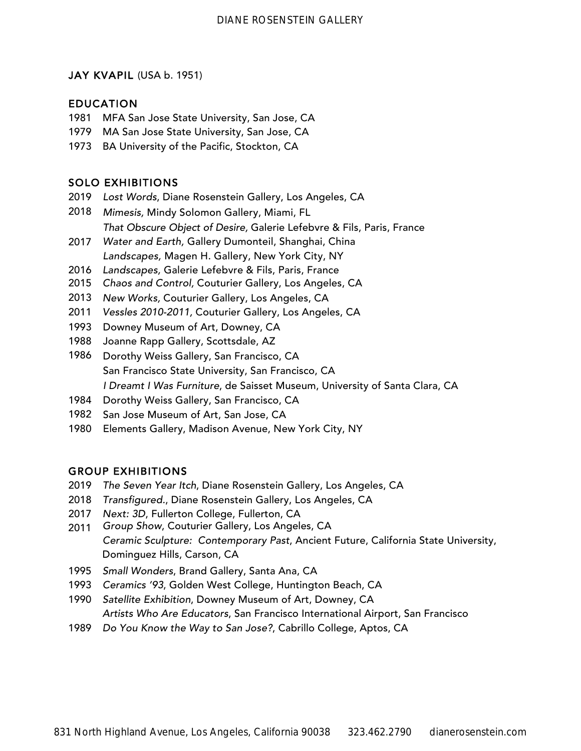### JAY KVAPIL (USA b. 1951)

### EDUCATION

- MFA San Jose State University, San Jose, CA
- MA San Jose State University, San Jose, CA
- 1973 BA University of the Pacific, Stockton, CA

# SOLO EXHIBITIONS

- Lost Words, Diane Rosenstein Gallery, Los Angeles, CA
- Mimesis, Mindy Solomon Gallery, Miami, FL That Obscure Object of Desire, Galerie Lefebvre & Fils, Paris, France
- Water and Earth, Gallery Dumonteil, Shanghai, China Landscapes, Magen H. Gallery, New York City, NY
- Landscapes, Galerie Lefebvre & Fils, Paris, France
- 5 Chaos and Control*,* Couturier Gallery, Los Angeles, CA
- New Works*,* Couturier Gallery, Los Angeles, CA
- *Vessles 2010-2011,* Couturier Gallery, Los Angeles, CA 1
- Downey Museum of Art, Downey, CA
- Joanne Rapp Gallery, Scottsdale, AZ
- Dorothy Weiss Gallery, San Francisco, CA San Francisco State University, San Francisco, CA *I Dreamt I Was Furniture*, de Saisset Museum, University of Santa Clara, CA
- Dorothy Weiss Gallery, San Francisco, CA
- San Jose Museum of Art, San Jose, CA
- Elements Gallery, Madison Avenue, New York City, NY

## GROUP EXHIBITIONS

- *The Seven Year Itch*, Diane Rosenstein Gallery, Los Angeles, CA
- *Transfigured.*, Diane Rosenstein Gallery, Los Angeles, CA
- *Next: 3D*, Fullerton College, Fullerton, CA
- *Group Sho*w, Couturier Gallery, Los Angeles, CA *Ceramic Sculpture: Contemporary Past*, Ancient Future, California State University, Dominguez Hills, Carson, CA
- *Small Wonders*, Brand Gallery, Santa Ana, CA
- *Ceramics '93*, Golden West College, Huntington Beach, CA
- *Satellite Exhibition*, Downey Museum of Art, Downey, CA *Artists Who Are Educators*, San Francisco International Airport, San Francisco
- *Do You Know the Way to San Jose?*, Cabrillo College, Aptos, CA